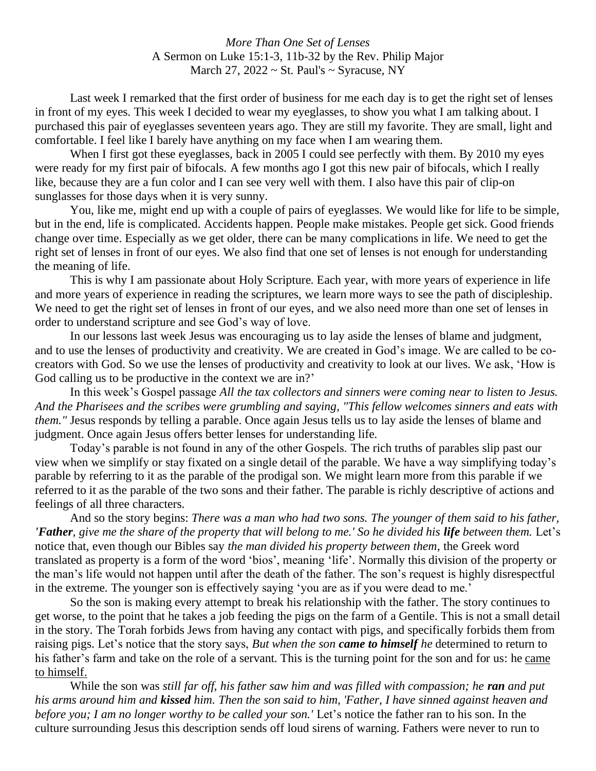## *More Than One Set of Lenses* A Sermon on Luke 15:1-3, 11b-32 by the Rev. Philip Major March 27,  $2022 \sim$  St. Paul's  $\sim$  Syracuse, NY

Last week I remarked that the first order of business for me each day is to get the right set of lenses in front of my eyes. This week I decided to wear my eyeglasses, to show you what I am talking about. I purchased this pair of eyeglasses seventeen years ago. They are still my favorite. They are small, light and comfortable. I feel like I barely have anything on my face when I am wearing them.

When I first got these eyeglasses, back in 2005 I could see perfectly with them. By 2010 my eyes were ready for my first pair of bifocals. A few months ago I got this new pair of bifocals, which I really like, because they are a fun color and I can see very well with them. I also have this pair of clip-on sunglasses for those days when it is very sunny.

You, like me, might end up with a couple of pairs of eyeglasses. We would like for life to be simple, but in the end, life is complicated. Accidents happen. People make mistakes. People get sick. Good friends change over time. Especially as we get older, there can be many complications in life. We need to get the right set of lenses in front of our eyes. We also find that one set of lenses is not enough for understanding the meaning of life.

This is why I am passionate about Holy Scripture. Each year, with more years of experience in life and more years of experience in reading the scriptures, we learn more ways to see the path of discipleship. We need to get the right set of lenses in front of our eyes, and we also need more than one set of lenses in order to understand scripture and see God's way of love.

In our lessons last week Jesus was encouraging us to lay aside the lenses of blame and judgment, and to use the lenses of productivity and creativity. We are created in God's image. We are called to be cocreators with God. So we use the lenses of productivity and creativity to look at our lives. We ask, 'How is God calling us to be productive in the context we are in?'

In this week's Gospel passage *All the tax collectors and sinners were coming near to listen to Jesus. And the Pharisees and the scribes were grumbling and saying, "This fellow welcomes sinners and eats with them."* Jesus responds by telling a parable. Once again Jesus tells us to lay aside the lenses of blame and judgment. Once again Jesus offers better lenses for understanding life.

Today's parable is not found in any of the other Gospels. The rich truths of parables slip past our view when we simplify or stay fixated on a single detail of the parable. We have a way simplifying today's parable by referring to it as the parable of the prodigal son. We might learn more from this parable if we referred to it as the parable of the two sons and their father. The parable is richly descriptive of actions and feelings of all three characters.

And so the story begins: *There was a man who had two sons. The younger of them said to his father, 'Father*, give me the share of the property that will belong to me.' So he divided his *life* between them. Let's notice that, even though our Bibles say *the man divided his property between them*, the Greek word translated as property is a form of the word 'bios', meaning 'life'. Normally this division of the property or the man's life would not happen until after the death of the father. The son's request is highly disrespectful in the extreme. The younger son is effectively saying 'you are as if you were dead to me.'

So the son is making every attempt to break his relationship with the father. The story continues to get worse, to the point that he takes a job feeding the pigs on the farm of a Gentile. This is not a small detail in the story. The Torah forbids Jews from having any contact with pigs, and specifically forbids them from raising pigs. Let's notice that the story says, *But when the son came to himself he* determined to return to his father's farm and take on the role of a servant. This is the turning point for the son and for us: he came to himself.

While the son was *still far off, his father saw him and was filled with compassion; he ran and put his arms around him and kissed him. Then the son said to him, 'Father, I have sinned against heaven and before you; I am no longer worthy to be called your son.'* Let's notice the father ran to his son. In the culture surrounding Jesus this description sends off loud sirens of warning. Fathers were never to run to